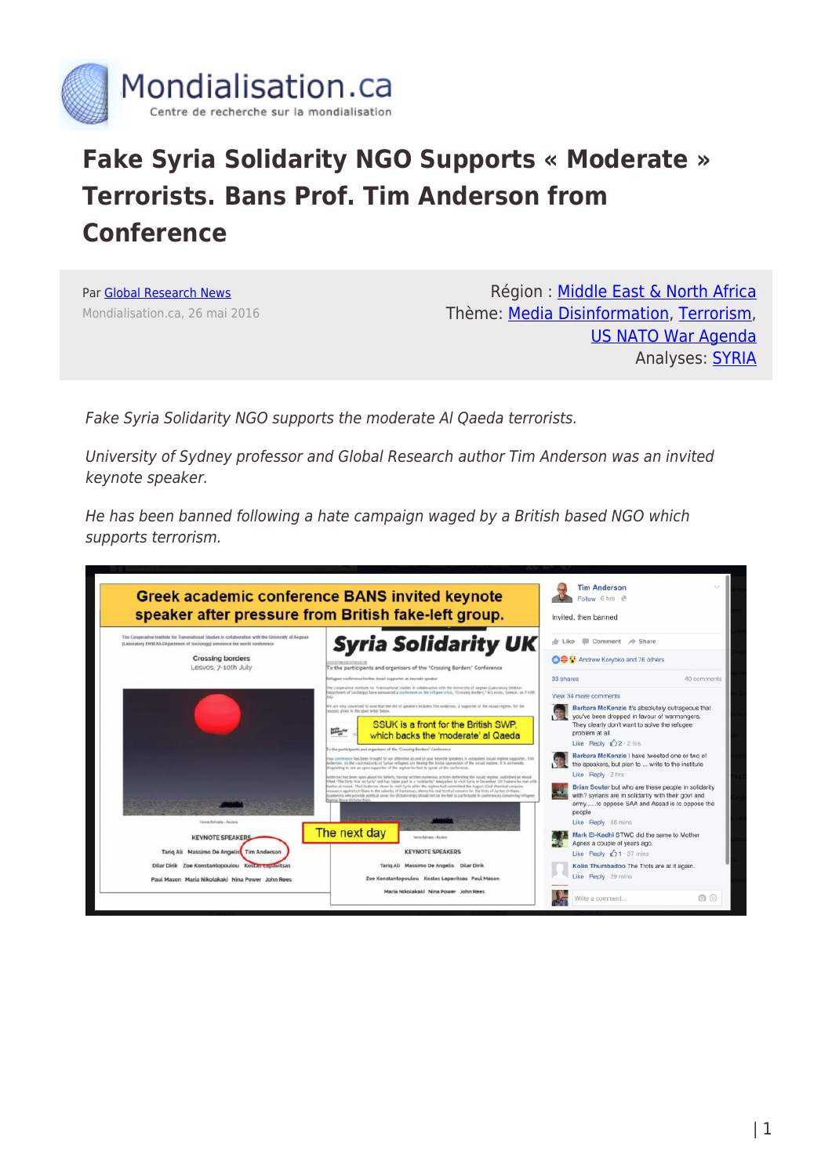

## **Fake Syria Solidarity NGO Supports « Moderate » Terrorists. Bans Prof. Tim Anderson from Conference**

Par [Global Research News](https://www.mondialisation.ca/author/global-research-news) Mondialisation.ca, 26 mai 2016

Région : [Middle East & North Africa](https://www.mondialisation.ca/region/middle-east) Thème: [Media Disinformation,](https://www.mondialisation.ca/theme/media-disinformation) [Terrorism](https://www.mondialisation.ca/theme/9-11-war-on-terrorism), [US NATO War Agenda](https://www.mondialisation.ca/theme/us-nato-war-agenda) Analyses: [SYRIA](https://www.mondialisation.ca/indepthreport/syria-nato-s-next-war)

Fake Syria Solidarity NGO supports the moderate Al Qaeda terrorists.

University of Sydney professor and Global Research author Tim Anderson was an invited keynote speaker.

He has been banned following a hate campaign waged by a British based NGO which supports terrorism.

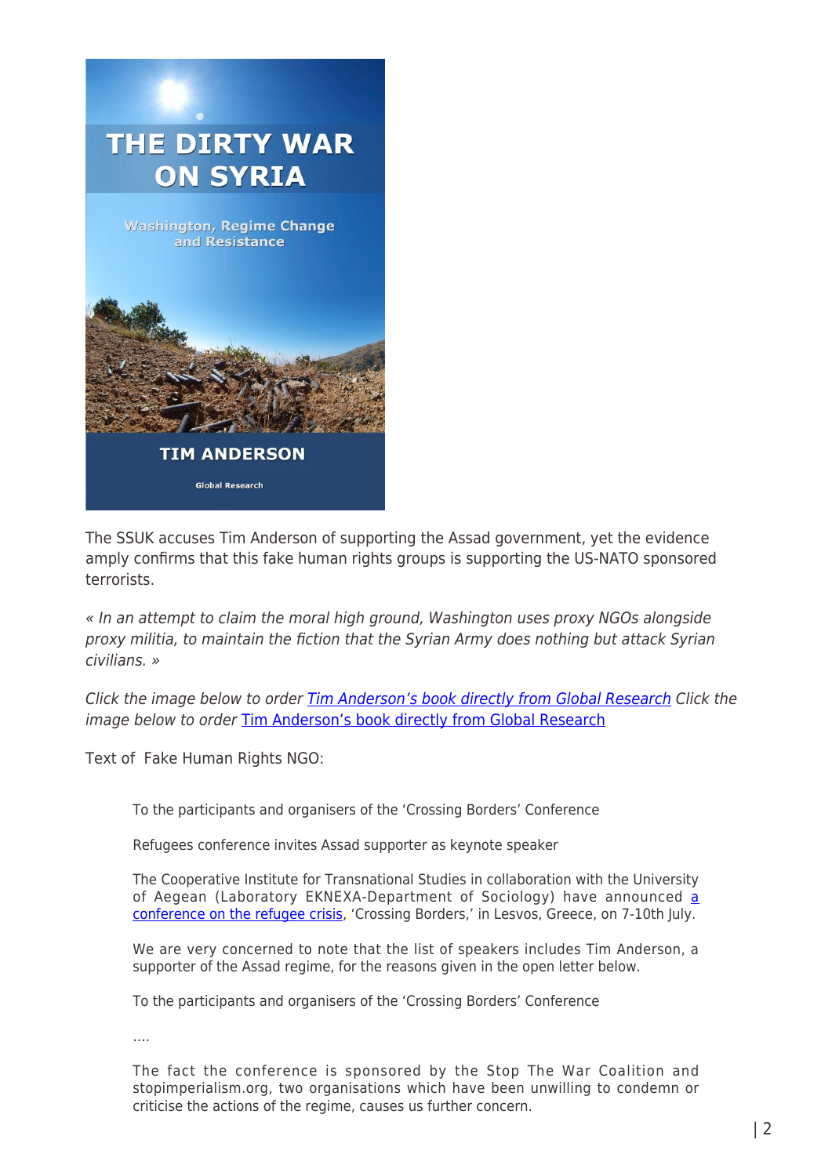

The SSUK accuses Tim Anderson of supporting the Assad government, yet the evidence amply confirms that this fake human rights groups is supporting the US-NATO sponsored terrorists.

« In an attempt to claim the moral high ground, Washington uses proxy NGOs alongside proxy militia, to maintain the fiction that the Syrian Army does nothing but attack Syrian civilians. »

Click the image below to order [Tim Anderson's book directly from Global Research](https://store.globalresearch.ca/store/the-dirty-war-on-syria-washington-regime-change-and-resistance-pdf/) Click the image below to order [Tim Anderson's book directly from Global Research](https://store.globalresearch.ca/store/the-dirty-war-on-syria-washington-regime-change-and-resistance-pdf/)

Text of Fake Human Rights NGO:

To the participants and organisers of the 'Crossing Borders' Conference

Refugees conference invites Assad supporter as keynote speaker

The Cooperative Institute for Transnational Studies in collaboration with the University of Aegean (Laboratory EKNEXA-Department of Sociology) have announced [a](http://www.coop-its.org/conference/) [conference on the refugee crisis](http://www.coop-its.org/conference/), 'Crossing Borders,' in Lesvos, Greece, on 7-10th July.

We are very concerned to note that the list of speakers includes Tim Anderson, a supporter of the Assad regime, for the reasons given in the open letter below.

To the participants and organisers of the 'Crossing Borders' Conference

….

The fact the conference is sponsored by the Stop The War Coalition and stopimperialism.org, two organisations which have been unwilling to condemn or criticise the actions of the regime, causes us further concern.